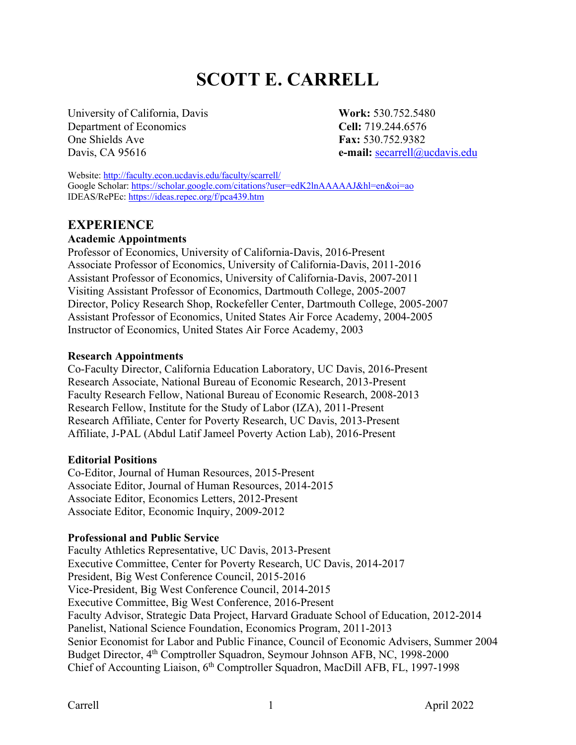# **SCOTT E. CARRELL**

University of California, Davis **Work:** 530.752.5480 Department of Economics **Cell:** 719.244.6576 One Shields Ave **Fax:** 530.752.9382

Davis, CA 95616 **e-mail:** secarrell@ucdavis.edu

Website: http://faculty.econ.ucdavis.edu/faculty/scarrell/ Google Scholar: https://scholar.google.com/citations?user=edK2lnAAAAAJ&hl=en&oi=ao IDEAS/RePEc: https://ideas.repec.org/f/pca439.htm

#### **EXPERIENCE**

#### **Academic Appointments**

Professor of Economics, University of California-Davis, 2016-Present Associate Professor of Economics, University of California-Davis, 2011-2016 Assistant Professor of Economics, University of California-Davis, 2007-2011 Visiting Assistant Professor of Economics, Dartmouth College, 2005-2007 Director, Policy Research Shop, Rockefeller Center, Dartmouth College, 2005-2007 Assistant Professor of Economics, United States Air Force Academy, 2004-2005 Instructor of Economics, United States Air Force Academy, 2003

#### **Research Appointments**

Co-Faculty Director, California Education Laboratory, UC Davis, 2016-Present Research Associate, National Bureau of Economic Research, 2013-Present Faculty Research Fellow, National Bureau of Economic Research, 2008-2013 Research Fellow, Institute for the Study of Labor (IZA), 2011-Present Research Affiliate, Center for Poverty Research, UC Davis, 2013-Present Affiliate, J-PAL (Abdul Latif Jameel Poverty Action Lab), 2016-Present

#### **Editorial Positions**

Co-Editor, Journal of Human Resources, 2015-Present Associate Editor, Journal of Human Resources, 2014-2015 Associate Editor, Economics Letters, 2012-Present Associate Editor, Economic Inquiry, 2009-2012

#### **Professional and Public Service**

Faculty Athletics Representative, UC Davis, 2013-Present Executive Committee, Center for Poverty Research, UC Davis, 2014-2017 President, Big West Conference Council, 2015-2016 Vice-President, Big West Conference Council, 2014-2015 Executive Committee, Big West Conference, 2016-Present Faculty Advisor, Strategic Data Project, Harvard Graduate School of Education, 2012-2014 Panelist, National Science Foundation, Economics Program, 2011-2013 Senior Economist for Labor and Public Finance, Council of Economic Advisers, Summer 2004 Budget Director, 4<sup>th</sup> Comptroller Squadron, Seymour Johnson AFB, NC, 1998-2000 Chief of Accounting Liaison, 6th Comptroller Squadron, MacDill AFB, FL, 1997-1998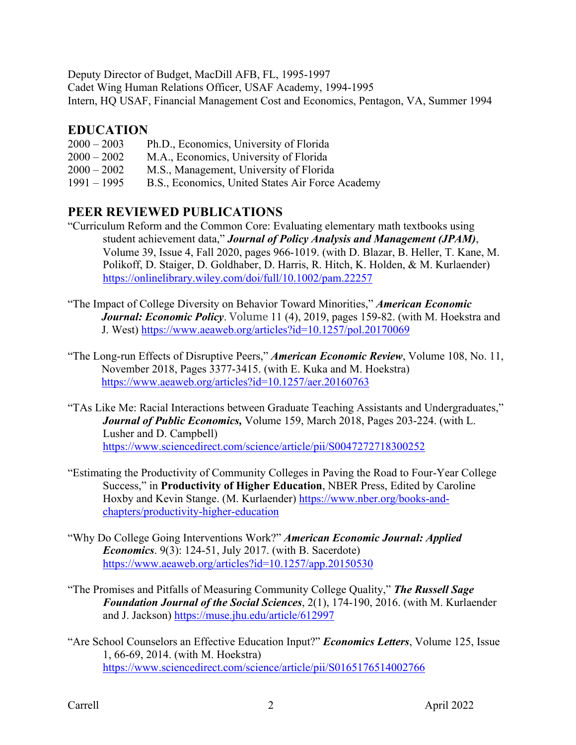Deputy Director of Budget, MacDill AFB, FL, 1995-1997 Cadet Wing Human Relations Officer, USAF Academy, 1994-1995 Intern, HQ USAF, Financial Management Cost and Economics, Pentagon, VA, Summer 1994

### **EDUCATION**

- 2000 2002 M.A., Economics, University of Florida
- 2000 2002 M.S., Management, University of Florida
- 1991 1995 B.S., Economics, United States Air Force Academy

# **PEER REVIEWED PUBLICATIONS**

- "Curriculum Reform and the Common Core: Evaluating elementary math textbooks using student achievement data," *Journal of Policy Analysis and Management (JPAM)*, Volume 39, Issue 4, Fall 2020, pages 966-1019. (with D. Blazar, B. Heller, T. Kane, M. Polikoff, D. Staiger, D. Goldhaber, D. Harris, R. Hitch, K. Holden, & M. Kurlaender) https://onlinelibrary.wiley.com/doi/full/10.1002/pam.22257
- "The Impact of College Diversity on Behavior Toward Minorities," *American Economic Journal: Economic Policy*. Volume 11 (4), 2019, pages 159-82. (with M. Hoekstra and J. West) https://www.aeaweb.org/articles?id=10.1257/pol.20170069
- "The Long-run Effects of Disruptive Peers," *American Economic Review*, Volume 108, No. 11, November 2018, Pages 3377-3415. (with E. Kuka and M. Hoekstra) https://www.aeaweb.org/articles?id=10.1257/aer.20160763
- "TAs Like Me: Racial Interactions between Graduate Teaching Assistants and Undergraduates," *Journal of Public Economics,* Volume 159, March 2018, Pages 203-224. (with L. Lusher and D. Campbell) https://www.sciencedirect.com/science/article/pii/S0047272718300252
- "Estimating the Productivity of Community Colleges in Paving the Road to Four-Year College Success," in **Productivity of Higher Education**, NBER Press, Edited by Caroline Hoxby and Kevin Stange. (M. Kurlaender) https://www.nber.org/books-andchapters/productivity-higher-education
- "Why Do College Going Interventions Work?" *American Economic Journal: Applied Economics*. 9(3): 124-51, July 2017. (with B. Sacerdote) https://www.aeaweb.org/articles?id=10.1257/app.20150530
- "The Promises and Pitfalls of Measuring Community College Quality," *The Russell Sage Foundation Journal of the Social Sciences*, 2(1), 174-190, 2016. (with M. Kurlaender and J. Jackson) https://muse.jhu.edu/article/612997
- "Are School Counselors an Effective Education Input?" *Economics Letters*, Volume 125, Issue 1, 66-69, 2014. (with M. Hoekstra) https://www.sciencedirect.com/science/article/pii/S0165176514002766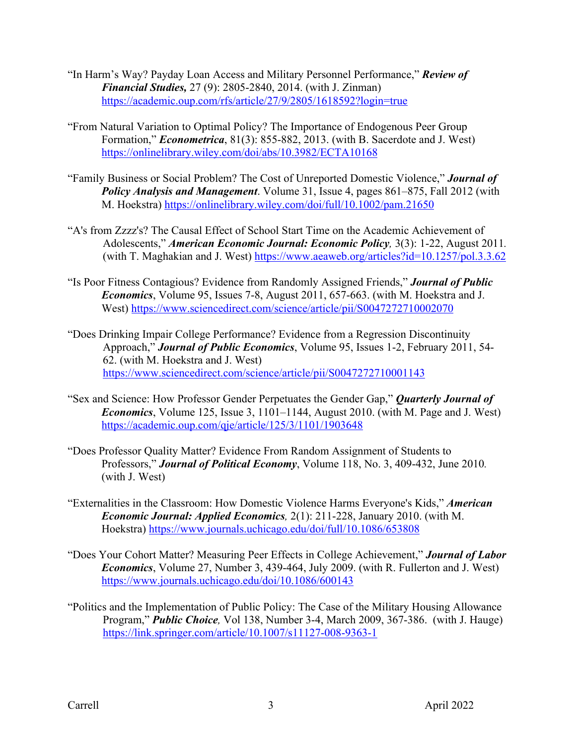- "In Harm's Way? Payday Loan Access and Military Personnel Performance," *Review of Financial Studies,* 27 (9): 2805-2840, 2014. (with J. Zinman) https://academic.oup.com/rfs/article/27/9/2805/1618592?login=true
- "From Natural Variation to Optimal Policy? The Importance of Endogenous Peer Group Formation," *Econometrica*, 81(3): 855-882, 2013. (with B. Sacerdote and J. West) https://onlinelibrary.wiley.com/doi/abs/10.3982/ECTA10168
- "Family Business or Social Problem? The Cost of Unreported Domestic Violence," *Journal of Policy Analysis and Management*. Volume 31, Issue 4, pages 861–875, Fall 2012 (with M. Hoekstra) https://onlinelibrary.wiley.com/doi/full/10.1002/pam.21650
- "A's from Zzzz's? The Causal Effect of School Start Time on the Academic Achievement of Adolescents," *American Economic Journal: Economic Policy,* 3(3): 1-22, August 2011*.* (with T. Maghakian and J. West) https://www.aeaweb.org/articles?id=10.1257/pol.3.3.62
- "Is Poor Fitness Contagious? Evidence from Randomly Assigned Friends," *Journal of Public Economics*, Volume 95, Issues 7-8, August 2011, 657-663. (with M. Hoekstra and J. West) https://www.sciencedirect.com/science/article/pii/S0047272710002070
- "Does Drinking Impair College Performance? Evidence from a Regression Discontinuity Approach," *Journal of Public Economics*, Volume 95, Issues 1-2, February 2011, 54- 62. (with M. Hoekstra and J. West) https://www.sciencedirect.com/science/article/pii/S0047272710001143
- "Sex and Science: How Professor Gender Perpetuates the Gender Gap," *Quarterly Journal of Economics*, Volume 125, Issue 3, 1101–1144, August 2010. (with M. Page and J. West) https://academic.oup.com/qje/article/125/3/1101/1903648
- "Does Professor Quality Matter? Evidence From Random Assignment of Students to Professors," *Journal of Political Economy*, Volume 118, No. 3, 409-432, June 2010*.* (with J. West)
- "Externalities in the Classroom: How Domestic Violence Harms Everyone's Kids," *American Economic Journal: Applied Economics,* 2(1): 211-228, January 2010. (with M. Hoekstra) https://www.journals.uchicago.edu/doi/full/10.1086/653808
- "Does Your Cohort Matter? Measuring Peer Effects in College Achievement," *Journal of Labor Economics*, Volume 27, Number 3, 439-464, July 2009. (with R. Fullerton and J. West) https://www.journals.uchicago.edu/doi/10.1086/600143
- "Politics and the Implementation of Public Policy: The Case of the Military Housing Allowance Program," *Public Choice,* Vol 138, Number 3-4, March 2009, 367-386. (with J. Hauge) https://link.springer.com/article/10.1007/s11127-008-9363-1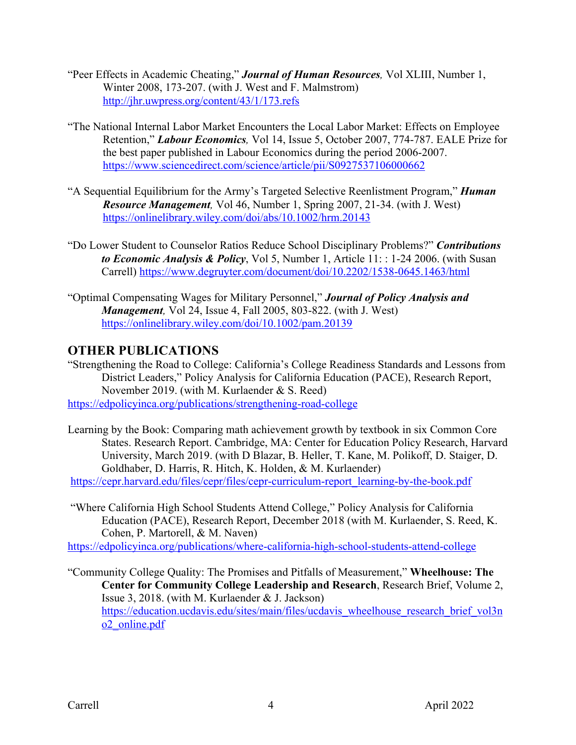- "Peer Effects in Academic Cheating," *Journal of Human Resources,* Vol XLIII, Number 1, Winter 2008, 173-207. (with J. West and F. Malmstrom) http://jhr.uwpress.org/content/43/1/173.refs
- "The National Internal Labor Market Encounters the Local Labor Market: Effects on Employee Retention," *Labour Economics,* Vol 14, Issue 5, October 2007, 774-787. EALE Prize for the best paper published in Labour Economics during the period 2006-2007. https://www.sciencedirect.com/science/article/pii/S0927537106000662
- "A Sequential Equilibrium for the Army's Targeted Selective Reenlistment Program," *Human Resource Management,* Vol 46, Number 1, Spring 2007, 21-34. (with J. West) https://onlinelibrary.wiley.com/doi/abs/10.1002/hrm.20143
- "Do Lower Student to Counselor Ratios Reduce School Disciplinary Problems?" *Contributions to Economic Analysis & Policy*, Vol 5, Number 1, Article 11: : 1-24 2006. (with Susan Carrell) https://www.degruyter.com/document/doi/10.2202/1538-0645.1463/html
- "Optimal Compensating Wages for Military Personnel," *Journal of Policy Analysis and Management,* Vol 24, Issue 4, Fall 2005, 803-822. (with J. West) https://onlinelibrary.wiley.com/doi/10.1002/pam.20139

# **OTHER PUBLICATIONS**

"Strengthening the Road to College: California's College Readiness Standards and Lessons from District Leaders," Policy Analysis for California Education (PACE), Research Report, November 2019. (with M. Kurlaender & S. Reed) https://edpolicyinca.org/publications/strengthening-road-college

Learning by the Book: Comparing math achievement growth by textbook in six Common Core States. Research Report. Cambridge, MA: Center for Education Policy Research, Harvard University, March 2019. (with D Blazar, B. Heller, T. Kane, M. Polikoff, D. Staiger, D. Goldhaber, D. Harris, R. Hitch, K. Holden, & M. Kurlaender)

https://cepr.harvard.edu/files/cepr/files/cepr-curriculum-report\_learning-by-the-book.pdf

"Where California High School Students Attend College," Policy Analysis for California Education (PACE), Research Report, December 2018 (with M. Kurlaender, S. Reed, K. Cohen, P. Martorell, & M. Naven)

https://edpolicyinca.org/publications/where-california-high-school-students-attend-college

"Community College Quality: The Promises and Pitfalls of Measurement," **Wheelhouse: The Center for Community College Leadership and Research**, Research Brief, Volume 2, Issue 3, 2018. (with M. Kurlaender & J. Jackson) https://education.ucdavis.edu/sites/main/files/ucdavis\_wheelhouse\_research\_brief\_vol3n o2\_online.pdf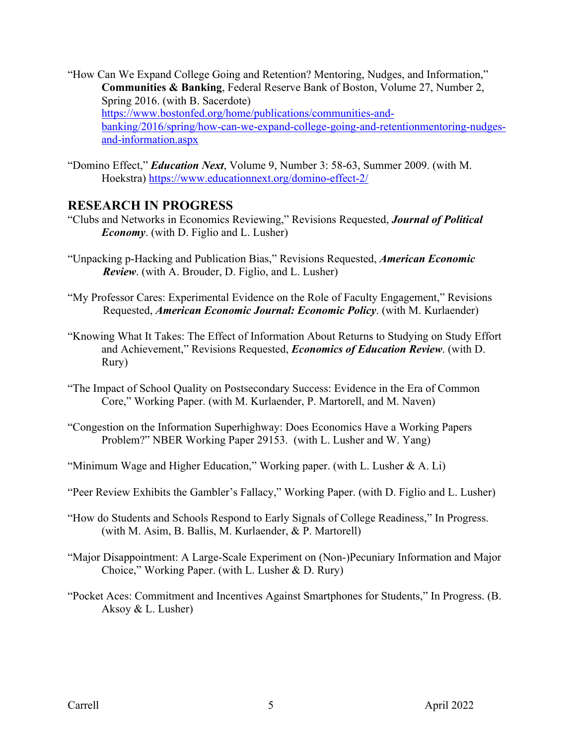- "How Can We Expand College Going and Retention? Mentoring, Nudges, and Information," **Communities & Banking**, Federal Reserve Bank of Boston, Volume 27, Number 2, Spring 2016. (with B. Sacerdote) https://www.bostonfed.org/home/publications/communities-andbanking/2016/spring/how-can-we-expand-college-going-and-retentionmentoring-nudgesand-information.aspx
- "Domino Effect," *Education Next*, Volume 9, Number 3: 58-63, Summer 2009. (with M. Hoekstra) https://www.educationnext.org/domino-effect-2/

#### **RESEARCH IN PROGRESS**

- "Clubs and Networks in Economics Reviewing," Revisions Requested, *Journal of Political Economy*. (with D. Figlio and L. Lusher)
- "Unpacking p-Hacking and Publication Bias," Revisions Requested, *American Economic Review*. (with A. Brouder, D. Figlio, and L. Lusher)
- "My Professor Cares: Experimental Evidence on the Role of Faculty Engagement," Revisions Requested, *American Economic Journal: Economic Policy*. (with M. Kurlaender)
- "Knowing What It Takes: The Effect of Information About Returns to Studying on Study Effort and Achievement," Revisions Requested, *Economics of Education Review*. (with D. Rury)
- "The Impact of School Quality on Postsecondary Success: Evidence in the Era of Common Core," Working Paper. (with M. Kurlaender, P. Martorell, and M. Naven)
- "Congestion on the Information Superhighway: Does Economics Have a Working Papers Problem?" NBER Working Paper 29153. (with L. Lusher and W. Yang)
- "Minimum Wage and Higher Education," Working paper. (with L. Lusher & A. Li)
- "Peer Review Exhibits the Gambler's Fallacy," Working Paper. (with D. Figlio and L. Lusher)
- "How do Students and Schools Respond to Early Signals of College Readiness," In Progress. (with M. Asim, B. Ballis, M. Kurlaender, & P. Martorell)
- "Major Disappointment: A Large-Scale Experiment on (Non-)Pecuniary Information and Major Choice," Working Paper. (with L. Lusher & D. Rury)
- "Pocket Aces: Commitment and Incentives Against Smartphones for Students," In Progress. (B. Aksoy & L. Lusher)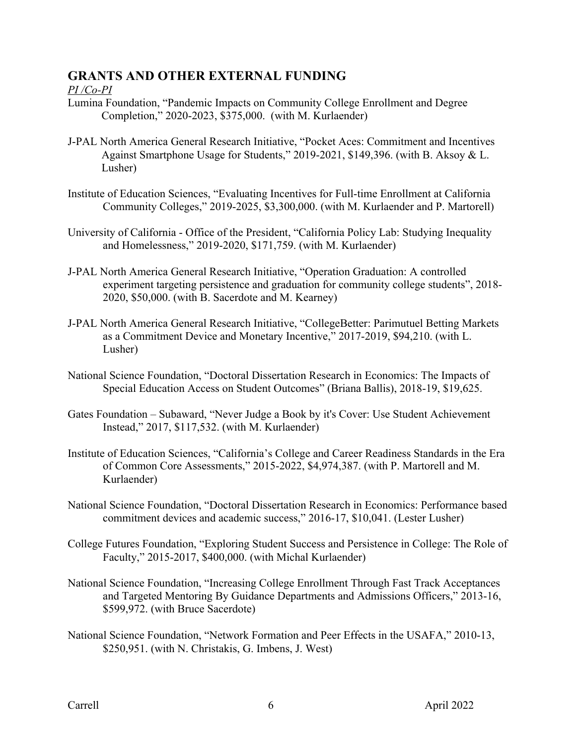# **GRANTS AND OTHER EXTERNAL FUNDING**

#### *PI /Co-PI*

- Lumina Foundation, "Pandemic Impacts on Community College Enrollment and Degree Completion," 2020-2023, \$375,000. (with M. Kurlaender)
- J-PAL North America General Research Initiative, "Pocket Aces: Commitment and Incentives Against Smartphone Usage for Students," 2019-2021, \$149,396. (with B. Aksoy & L. Lusher)
- Institute of Education Sciences, "Evaluating Incentives for Full-time Enrollment at California Community Colleges," 2019-2025, \$3,300,000. (with M. Kurlaender and P. Martorell)
- University of California Office of the President, "California Policy Lab: Studying Inequality and Homelessness," 2019-2020, \$171,759. (with M. Kurlaender)
- J-PAL North America General Research Initiative, "Operation Graduation: A controlled experiment targeting persistence and graduation for community college students", 2018- 2020, \$50,000. (with B. Sacerdote and M. Kearney)
- J-PAL North America General Research Initiative, "CollegeBetter: Parimutuel Betting Markets as a Commitment Device and Monetary Incentive," 2017-2019, \$94,210. (with L. Lusher)
- National Science Foundation, "Doctoral Dissertation Research in Economics: The Impacts of Special Education Access on Student Outcomes" (Briana Ballis), 2018-19, \$19,625.
- Gates Foundation Subaward, "Never Judge a Book by it's Cover: Use Student Achievement Instead," 2017, \$117,532. (with M. Kurlaender)
- Institute of Education Sciences, "California's College and Career Readiness Standards in the Era of Common Core Assessments," 2015-2022, \$4,974,387. (with P. Martorell and M. Kurlaender)
- National Science Foundation, "Doctoral Dissertation Research in Economics: Performance based commitment devices and academic success," 2016-17, \$10,041. (Lester Lusher)
- College Futures Foundation, "Exploring Student Success and Persistence in College: The Role of Faculty," 2015-2017, \$400,000. (with Michal Kurlaender)
- National Science Foundation, "Increasing College Enrollment Through Fast Track Acceptances and Targeted Mentoring By Guidance Departments and Admissions Officers," 2013-16, \$599,972. (with Bruce Sacerdote)
- National Science Foundation, "Network Formation and Peer Effects in the USAFA," 2010-13, \$250,951. (with N. Christakis, G. Imbens, J. West)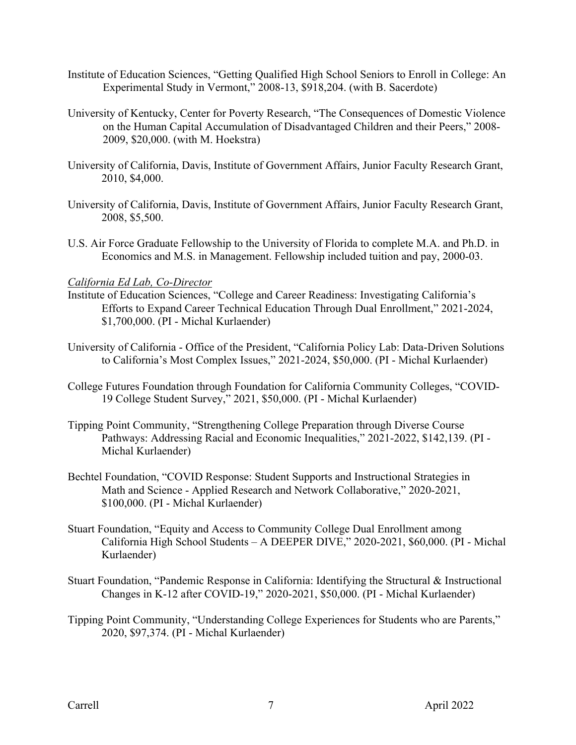- Institute of Education Sciences, "Getting Qualified High School Seniors to Enroll in College: An Experimental Study in Vermont," 2008-13, \$918,204. (with B. Sacerdote)
- University of Kentucky, Center for Poverty Research, "The Consequences of Domestic Violence on the Human Capital Accumulation of Disadvantaged Children and their Peers," 2008- 2009, \$20,000. (with M. Hoekstra)
- University of California, Davis, Institute of Government Affairs, Junior Faculty Research Grant, 2010, \$4,000.
- University of California, Davis, Institute of Government Affairs, Junior Faculty Research Grant, 2008, \$5,500.
- U.S. Air Force Graduate Fellowship to the University of Florida to complete M.A. and Ph.D. in Economics and M.S. in Management. Fellowship included tuition and pay, 2000-03.

#### *California Ed Lab, Co-Director*

- Institute of Education Sciences, "College and Career Readiness: Investigating California's Efforts to Expand Career Technical Education Through Dual Enrollment," 2021-2024, \$1,700,000. (PI - Michal Kurlaender)
- University of California Office of the President, "California Policy Lab: Data-Driven Solutions to California's Most Complex Issues," 2021-2024, \$50,000. (PI - Michal Kurlaender)
- College Futures Foundation through Foundation for California Community Colleges, "COVID-19 College Student Survey," 2021, \$50,000. (PI - Michal Kurlaender)
- Tipping Point Community, "Strengthening College Preparation through Diverse Course Pathways: Addressing Racial and Economic Inequalities," 2021-2022, \$142,139. (PI - Michal Kurlaender)
- Bechtel Foundation, "COVID Response: Student Supports and Instructional Strategies in Math and Science - Applied Research and Network Collaborative," 2020-2021, \$100,000. (PI - Michal Kurlaender)
- Stuart Foundation, "Equity and Access to Community College Dual Enrollment among California High School Students – A DEEPER DIVE," 2020-2021, \$60,000. (PI - Michal Kurlaender)
- Stuart Foundation, "Pandemic Response in California: Identifying the Structural & Instructional Changes in K-12 after COVID-19," 2020-2021, \$50,000. (PI - Michal Kurlaender)
- Tipping Point Community, "Understanding College Experiences for Students who are Parents," 2020, \$97,374. (PI - Michal Kurlaender)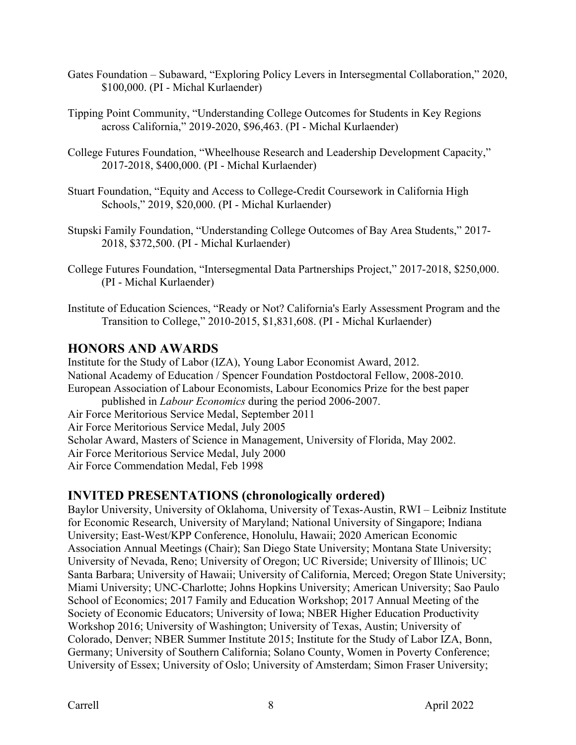- Gates Foundation Subaward, "Exploring Policy Levers in Intersegmental Collaboration," 2020, \$100,000. (PI - Michal Kurlaender)
- Tipping Point Community, "Understanding College Outcomes for Students in Key Regions across California," 2019-2020, \$96,463. (PI - Michal Kurlaender)
- College Futures Foundation, "Wheelhouse Research and Leadership Development Capacity," 2017-2018, \$400,000. (PI - Michal Kurlaender)
- Stuart Foundation, "Equity and Access to College-Credit Coursework in California High Schools," 2019, \$20,000. (PI - Michal Kurlaender)
- Stupski Family Foundation, "Understanding College Outcomes of Bay Area Students," 2017- 2018, \$372,500. (PI - Michal Kurlaender)
- College Futures Foundation, "Intersegmental Data Partnerships Project," 2017-2018, \$250,000. (PI - Michal Kurlaender)
- Institute of Education Sciences, "Ready or Not? California's Early Assessment Program and the Transition to College," 2010-2015, \$1,831,608. (PI - Michal Kurlaender)

## **HONORS AND AWARDS**

Institute for the Study of Labor (IZA), Young Labor Economist Award, 2012. National Academy of Education / Spencer Foundation Postdoctoral Fellow, 2008-2010. European Association of Labour Economists, Labour Economics Prize for the best paper published in *Labour Economics* during the period 2006-2007. Air Force Meritorious Service Medal, September 2011 Air Force Meritorious Service Medal, July 2005 Scholar Award, Masters of Science in Management, University of Florida, May 2002. Air Force Meritorious Service Medal, July 2000 Air Force Commendation Medal, Feb 1998

### **INVITED PRESENTATIONS (chronologically ordered)**

Baylor University, University of Oklahoma, University of Texas-Austin, RWI – Leibniz Institute for Economic Research, University of Maryland; National University of Singapore; Indiana University; East-West/KPP Conference, Honolulu, Hawaii; 2020 American Economic Association Annual Meetings (Chair); San Diego State University; Montana State University; University of Nevada, Reno; University of Oregon; UC Riverside; University of Illinois; UC Santa Barbara; University of Hawaii; University of California, Merced; Oregon State University; Miami University; UNC-Charlotte; Johns Hopkins University; American University; Sao Paulo School of Economics; 2017 Family and Education Workshop; 2017 Annual Meeting of the Society of Economic Educators; University of Iowa; NBER Higher Education Productivity Workshop 2016; University of Washington; University of Texas, Austin; University of Colorado, Denver; NBER Summer Institute 2015; Institute for the Study of Labor IZA, Bonn, Germany; University of Southern California; Solano County, Women in Poverty Conference; University of Essex; University of Oslo; University of Amsterdam; Simon Fraser University;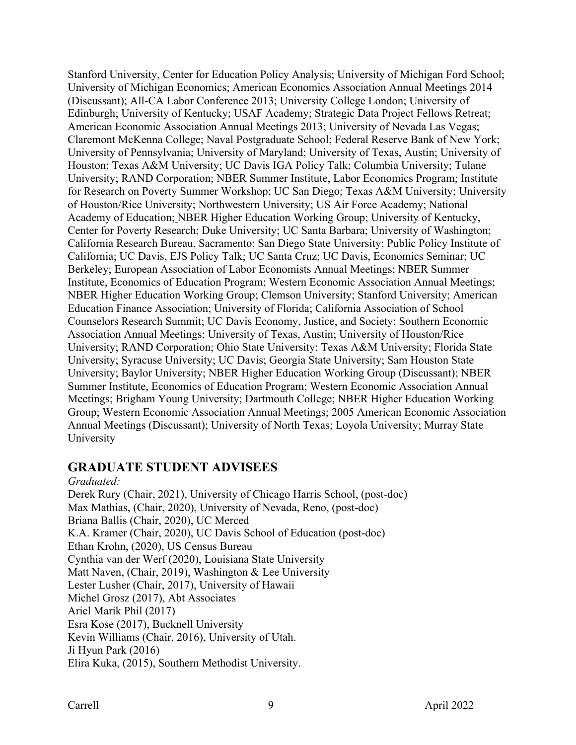Stanford University, Center for Education Policy Analysis; University of Michigan Ford School; University of Michigan Economics; American Economics Association Annual Meetings 2014 (Discussant); All-CA Labor Conference 2013; University College London; University of Edinburgh; University of Kentucky; USAF Academy; Strategic Data Project Fellows Retreat; American Economic Association Annual Meetings 2013; University of Nevada Las Vegas; Claremont McKenna College; Naval Postgraduate School; Federal Reserve Bank of New York; University of Pennsylvania; University of Maryland; University of Texas, Austin; University of Houston; Texas A&M University; UC Davis IGA Policy Talk; Columbia University; Tulane University; RAND Corporation; NBER Summer Institute, Labor Economics Program; Institute for Research on Poverty Summer Workshop; UC San Diego; Texas A&M University; University of Houston/Rice University; Northwestern University; US Air Force Academy; National Academy of Education; NBER Higher Education Working Group; University of Kentucky, Center for Poverty Research; Duke University; UC Santa Barbara; University of Washington; California Research Bureau, Sacramento; San Diego State University; Public Policy Institute of California; UC Davis, EJS Policy Talk; UC Santa Cruz; UC Davis, Economics Seminar; UC Berkeley; European Association of Labor Economists Annual Meetings; NBER Summer Institute, Economics of Education Program; Western Economic Association Annual Meetings; NBER Higher Education Working Group; Clemson University; Stanford University; American Education Finance Association; University of Florida; California Association of School Counselors Research Summit; UC Davis Economy, Justice, and Society; Southern Economic Association Annual Meetings; University of Texas, Austin; University of Houston/Rice University; RAND Corporation; Ohio State University; Texas A&M University; Florida State University; Syracuse University; UC Davis; Georgia State University; Sam Houston State University; Baylor University; NBER Higher Education Working Group (Discussant); NBER Summer Institute, Economics of Education Program; Western Economic Association Annual Meetings; Brigham Young University; Dartmouth College; NBER Higher Education Working Group; Western Economic Association Annual Meetings; 2005 American Economic Association Annual Meetings (Discussant); University of North Texas; Loyola University; Murray State University

### **GRADUATE STUDENT ADVISEES**

#### *Graduated:*

Derek Rury (Chair, 2021), University of Chicago Harris School, (post-doc) Max Mathias, (Chair, 2020), University of Nevada, Reno, (post-doc) Briana Ballis (Chair, 2020), UC Merced K.A. Kramer (Chair, 2020), UC Davis School of Education (post-doc) Ethan Krohn, (2020), US Census Bureau Cynthia van der Werf (2020), Louisiana State University Matt Naven, (Chair, 2019), Washington & Lee University Lester Lusher (Chair, 2017), University of Hawaii Michel Grosz (2017), Abt Associates Ariel Marik Phil (2017) Esra Kose (2017), Bucknell University Kevin Williams (Chair, 2016), University of Utah. Ji Hyun Park (2016) Elira Kuka, (2015), Southern Methodist University.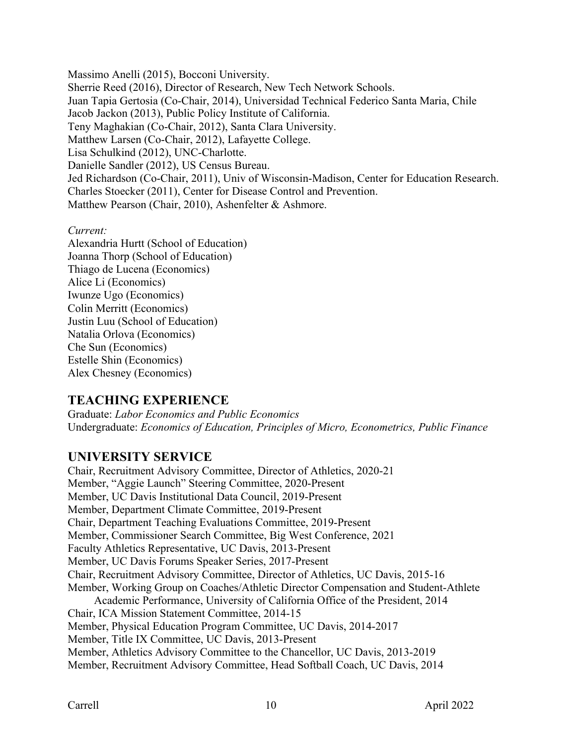Massimo Anelli (2015), Bocconi University. Sherrie Reed (2016), Director of Research, New Tech Network Schools. Juan Tapia Gertosia (Co-Chair, 2014), Universidad Technical Federico Santa Maria, Chile Jacob Jackon (2013), Public Policy Institute of California. Teny Maghakian (Co-Chair, 2012), Santa Clara University. Matthew Larsen (Co-Chair, 2012), Lafayette College. Lisa Schulkind (2012), UNC-Charlotte. Danielle Sandler (2012), US Census Bureau. Jed Richardson (Co-Chair, 2011), Univ of Wisconsin-Madison, Center for Education Research. Charles Stoecker (2011), Center for Disease Control and Prevention. Matthew Pearson (Chair, 2010), Ashenfelter & Ashmore.

*Current:*

Alexandria Hurtt (School of Education) Joanna Thorp (School of Education) Thiago de Lucena (Economics) Alice Li (Economics) Iwunze Ugo (Economics) Colin Merritt (Economics) Justin Luu (School of Education) Natalia Orlova (Economics) Che Sun (Economics) Estelle Shin (Economics) Alex Chesney (Economics)

# **TEACHING EXPERIENCE**

Graduate: *Labor Economics and Public Economics* Undergraduate: *Economics of Education, Principles of Micro, Econometrics, Public Finance*

# **UNIVERSITY SERVICE**

Chair, Recruitment Advisory Committee, Director of Athletics, 2020-21 Member, "Aggie Launch" Steering Committee, 2020-Present Member, UC Davis Institutional Data Council, 2019-Present Member, Department Climate Committee, 2019-Present Chair, Department Teaching Evaluations Committee, 2019-Present Member, Commissioner Search Committee, Big West Conference, 2021 Faculty Athletics Representative, UC Davis, 2013-Present Member, UC Davis Forums Speaker Series, 2017-Present Chair, Recruitment Advisory Committee, Director of Athletics, UC Davis, 2015-16 Member, Working Group on Coaches/Athletic Director Compensation and Student-Athlete Academic Performance, University of California Office of the President, 2014 Chair, ICA Mission Statement Committee, 2014-15 Member, Physical Education Program Committee, UC Davis, 2014-2017 Member, Title IX Committee, UC Davis, 2013-Present Member, Athletics Advisory Committee to the Chancellor, UC Davis, 2013-2019 Member, Recruitment Advisory Committee, Head Softball Coach, UC Davis, 2014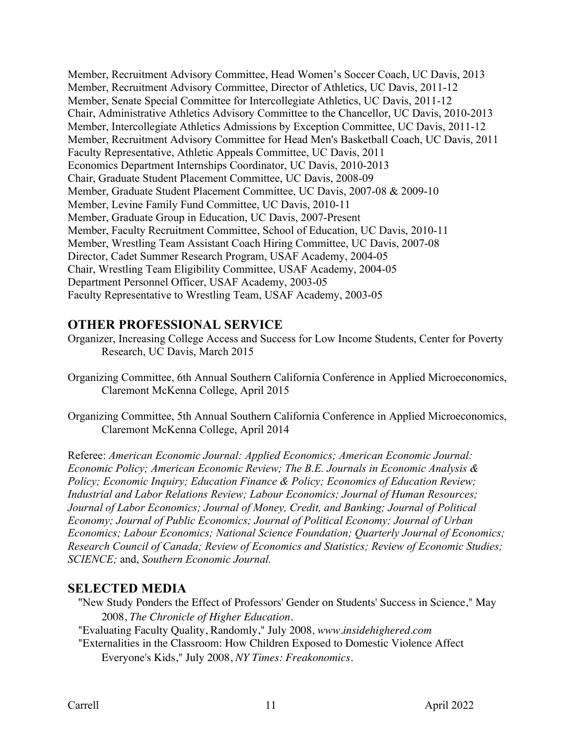Member, Recruitment Advisory Committee, Head Women's Soccer Coach, UC Davis, 2013 Member, Recruitment Advisory Committee, Director of Athletics, UC Davis, 2011-12 Member, Senate Special Committee for Intercollegiate Athletics, UC Davis, 2011-12 Chair, Administrative Athletics Advisory Committee to the Chancellor, UC Davis, 2010-2013 Member, Intercollegiate Athletics Admissions by Exception Committee, UC Davis, 2011-12 Member, Recruitment Advisory Committee for Head Men's Basketball Coach, UC Davis, 2011 Faculty Representative, Athletic Appeals Committee, UC Davis, 2011 Economics Department Internships Coordinator, UC Davis, 2010-2013 Chair, Graduate Student Placement Committee, UC Davis, 2008-09 Member, Graduate Student Placement Committee, UC Davis, 2007-08 & 2009-10 Member, Levine Family Fund Committee, UC Davis, 2010-11 Member, Graduate Group in Education, UC Davis, 2007-Present Member, Faculty Recruitment Committee, School of Education, UC Davis, 2010-11 Member, Wrestling Team Assistant Coach Hiring Committee, UC Davis, 2007-08 Director, Cadet Summer Research Program, USAF Academy, 2004-05 Chair, Wrestling Team Eligibility Committee, USAF Academy, 2004-05 Department Personnel Officer, USAF Academy, 2003-05 Faculty Representative to Wrestling Team, USAF Academy, 2003-05

### **OTHER PROFESSIONAL SERVICE**

- Organizer, Increasing College Access and Success for Low Income Students, Center for Poverty Research, UC Davis, March 2015
- Organizing Committee, 6th Annual Southern California Conference in Applied Microeconomics, Claremont McKenna College, April 2015
- Organizing Committee, 5th Annual Southern California Conference in Applied Microeconomics, Claremont McKenna College, April 2014

Referee: *American Economic Journal: Applied Economics; American Economic Journal: Economic Policy; American Economic Review; The B.E. Journals in Economic Analysis & Policy; Economic Inquiry; Education Finance & Policy; Economics of Education Review; Industrial and Labor Relations Review; Labour Economics; Journal of Human Resources; Journal of Labor Economics; Journal of Money, Credit, and Banking; Journal of Political Economy; Journal of Public Economics; Journal of Political Economy; Journal of Urban Economics; Labour Economics; National Science Foundation; Quarterly Journal of Economics; Research Council of Canada; Review of Economics and Statistics; Review of Economic Studies; SCIENCE;* and, *Southern Economic Journal.* 

### **SELECTED MEDIA**

"New Study Ponders the Effect of Professors' Gender on Students' Success in Science," May 2008, *The Chronicle of Higher Education.*

"Evaluating Faculty Quality, Randomly," July 2008*, www.insidehighered.com*

"Externalities in the Classroom: How Children Exposed to Domestic Violence Affect Everyone's Kids," July 2008, *NY Times: Freakonomics.*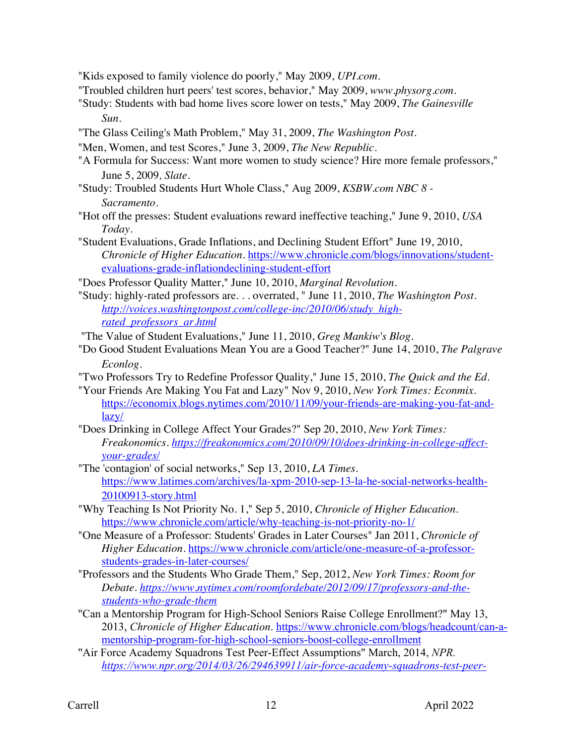"Kids exposed to family violence do poorly," May 2009, *UPI.com*.

"Troubled children hurt peers' test scores, behavior," May 2009, *www.physorg.com*.

- "Study: Students with bad home lives score lower on tests," May 2009, *The Gainesville Sun*.
- "The Glass Ceiling's Math Problem," May 31, 2009, *The Washington Post*.
- "Men, Women, and test Scores," June 3, 2009, *The New Republic.*
- "A Formula for Success: Want more women to study science? Hire more female professors," June 5, 2009*, Slate*.
- "Study: Troubled Students Hurt Whole Class," Aug 2009, *KSBW.com NBC 8 - Sacramento*.
- "Hot off the presses: Student evaluations reward ineffective teaching," June 9, 2010, *USA Today*.
- "Student Evaluations, Grade Inflations, and Declining Student Effort" June 19, 2010, *Chronicle of Higher Education*. https://www.chronicle.com/blogs/innovations/studentevaluations-grade-inflationdeclining-student-effort
- "Does Professor Quality Matter," June 10, 2010, *Marginal Revolution*.
- "Study: highly-rated professors are. . . overrated, " June 11, 2010, *The Washington Post. http://voices.washingtonpost.com/college-inc/2010/06/study\_highrated\_professors\_ar.html*

"The Value of Student Evaluations," June 11, 2010, *Greg Mankiw's Blog*.

- "Do Good Student Evaluations Mean You are a Good Teacher?" June 14, 2010, *The Palgrave Econlog.*
- "Two Professors Try to Redefine Professor Quality," June 15, 2010, *The Quick and the Ed.*
- "Your Friends Are Making You Fat and Lazy" Nov 9, 2010, *New York Times: Econmix.* https://economix.blogs.nytimes.com/2010/11/09/your-friends-are-making-you-fat-andlazy/
- "Does Drinking in College Affect Your Grades?" Sep 20, 2010, *New York Times: Freakonomics. https://freakonomics.com/2010/09/10/does-drinking-in-college-affectyour-grades/*
- "The 'contagion' of social networks," Sep 13, 2010, *LA Times*. https://www.latimes.com/archives/la-xpm-2010-sep-13-la-he-social-networks-health-20100913-story.html
- "Why Teaching Is Not Priority No. 1," Sep 5, 2010, *Chronicle of Higher Education*. https://www.chronicle.com/article/why-teaching-is-not-priority-no-1/
- "One Measure of a Professor: Students' Grades in Later Courses" Jan 2011, *Chronicle of Higher Education*. https://www.chronicle.com/article/one-measure-of-a-professorstudents-grades-in-later-courses/
- "Professors and the Students Who Grade Them," Sep, 2012, *New York Times: Room for Debate. https://www.nytimes.com/roomfordebate/2012/09/17/professors-and-thestudents-who-grade-them*
- "Can a Mentorship Program for High-School Seniors Raise College Enrollment?" May 13, 2013, *Chronicle of Higher Education*. https://www.chronicle.com/blogs/headcount/can-amentorship-program-for-high-school-seniors-boost-college-enrollment
- "Air Force Academy Squadrons Test Peer-Effect Assumptions" March, 2014, *NPR. https://www.npr.org/2014/03/26/294639911/air-force-academy-squadrons-test-peer-*